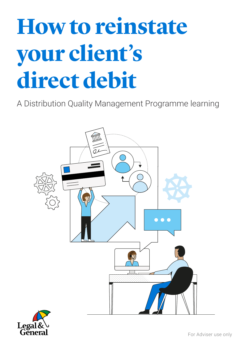# **How to reinstate your client's direct debit**

A Distribution Quality Management Programme learning



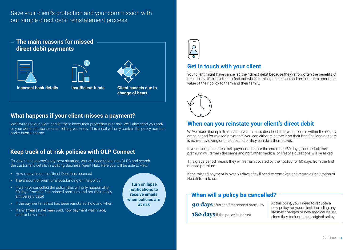Save your client's protection and your commission with our simple direct debit reinstatement process.



## **What happens if your client misses a payment?**

We'll write to your client and let them know their protection is at risk. We'll also send you and/ or your administrator an email letting you know. This email will only contain the policy number and customer name.

## **Keep track of at-risk policies with OLP Connect**

To view the customer's payment situation, you will need to log in to OLPC and search the customer's details in Existing Business Agent Hub. Here you will be able to view:

- How many times the Direct Debit has bounced
- The amount of premiums outstanding on the policy
- If we have cancelled the policy (this will only happen after 90 days from the first missed premium and not their policy anniversary date)
- If the payment method has been reinstated, how and when
- If any arrears have been paid, how payment was made, and for how much



## **Get in touch with your client**

Your client might have cancelled their direct debit because they've forgotten the benefits of their policy. It's important to find out whether this is the reason and remind them about the value of their policy to them and their family.



#### **When can you reinstate your client's direct debit**

We've made it simple to reinstate your client's direct debit. If your client is within the 60-day grace period for missed payments, you can either reinstate it on their bealf as long as there is no money owing on the account, or they can do it themselves.

If your client reinstates their payments before the end of the 60 day grace period, their premium will remain the same and no further medical or lifestyle questions will be asked.

This grace period means they will remain covered by their policy for 60 days from the first missed premium.

If the missed payment is over 60 days, they'll need to complete and return a Declaration of Health form to us.

#### **When will a policy be cancelled?**

**at risk At this point, you'll need to requote a 90 days** after the first missed premium and the point, you'll need to requote a **g** 

**180 days** if the policy is in trust

new policy for your client, including any lifestyle changes or new medical issues since they took out their original policy.